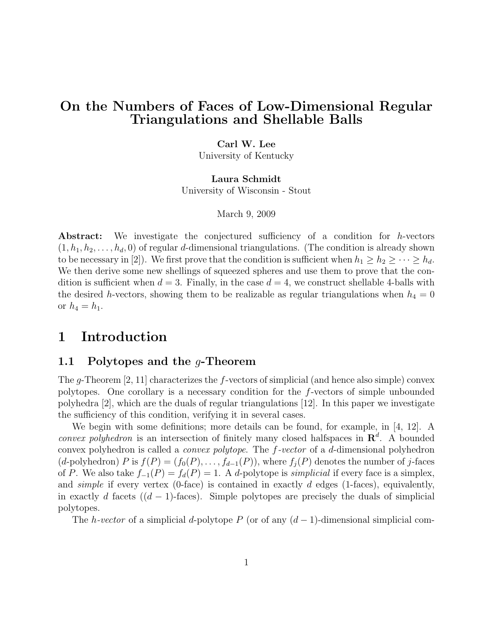# On the Numbers of Faces of Low-Dimensional Regular Triangulations and Shellable Balls

### Carl W. Lee

University of Kentucky

#### Laura Schmidt

University of Wisconsin - Stout

#### March 9, 2009

Abstract: We investigate the conjectured sufficiency of a condition for h-vectors  $(1, h_1, h_2, \ldots, h_d, 0)$  of regular d-dimensional triangulations. (The condition is already shown to be necessary in [2]). We first prove that the condition is sufficient when  $h_1 \geq h_2 \geq \cdots \geq h_d$ . We then derive some new shellings of squeezed spheres and use them to prove that the condition is sufficient when  $d = 3$ . Finally, in the case  $d = 4$ , we construct shellable 4-balls with the desired h-vectors, showing them to be realizable as regular triangulations when  $h_4 = 0$ or  $h_4 = h_1$ .

# 1 Introduction

### 1.1 Polytopes and the  $q$ -Theorem

The g-Theorem  $[2, 11]$  characterizes the f-vectors of simplicial (and hence also simple) convex polytopes. One corollary is a necessary condition for the f-vectors of simple unbounded polyhedra [2], which are the duals of regular triangulations [12]. In this paper we investigate the sufficiency of this condition, verifying it in several cases.

We begin with some definitions; more details can be found, for example, in [4, 12]. A *convex polyhedron* is an intersection of finitely many closed halfspaces in  $\mathbb{R}^d$ . A bounded convex polyhedron is called a convex polytope. The f-vector of a d-dimensional polyhedron  $(d$ -polyhedron) P is  $f(P) = (f_0(P), \ldots, f_{d-1}(P))$ , where  $f_i(P)$  denotes the number of j-faces of P. We also take  $f_{-1}(P) = f_d(P) = 1$ . A d-polytope is *simplicial* if every face is a simplex, and *simple* if every vertex (0-face) is contained in exactly d edges (1-faces), equivalently, in exactly d facets  $((d - 1))$ -faces). Simple polytopes are precisely the duals of simplicial polytopes.

The h-vector of a simplicial d-polytope P (or of any  $(d-1)$ -dimensional simplicial com-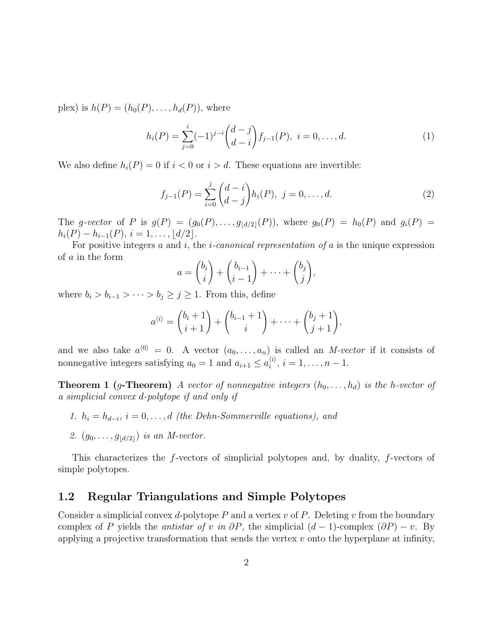plex) is  $h(P) = (h_0(P), \ldots, h_d(P))$ , where

$$
h_i(P) = \sum_{j=0}^i (-1)^{j-i} {d-j \choose d-i} f_{j-1}(P), \ i = 0, \dots, d.
$$
 (1)

We also define  $h_i(P) = 0$  if  $i < 0$  or  $i > d$ . These equations are invertible:

$$
f_{j-1}(P) = \sum_{i=0}^{j} {d-i \choose d-j} h_i(P), \ j = 0, \dots, d.
$$
 (2)

The g-vector of P is  $g(P) = (g_0(P), \ldots, g_{\lfloor d/2 \rfloor}(P)),$  where  $g_0(P) = h_0(P)$  and  $g_i(P) =$  $h_i(P) - h_{i-1}(P), i = 1, \ldots, \lfloor d/2 \rfloor.$ 

For positive integers  $a$  and  $i$ , the *i*-canonical representation of  $a$  is the unique expression of a in the form

$$
a = \binom{b_i}{i} + \binom{b_{i-1}}{i-1} + \dots + \binom{b_j}{j},
$$

where  $b_i > b_{i-1} > \cdots > b_j \geq j \geq 1$ . From this, define

$$
a^{(i)} = \binom{b_i+1}{i+1} + \binom{b_{i-1}+1}{i} + \dots + \binom{b_j+1}{j+1},
$$

and we also take  $a^{(0)} = 0$ . A vector  $(a_0, \ldots, a_n)$  is called an M-vector if it consists of nonnegative integers satisfying  $a_0 = 1$  and  $a_{i+1} \leq a_i^{(i)}$  $i^{(i)}$ ,  $i = 1, \ldots, n-1$ .

**Theorem 1 (g-Theorem)** A vector of nonnegative integers  $(h_0, \ldots, h_d)$  is the h-vector of a simplicial convex d-polytope if and only if

- 1.  $h_i = h_{d-i}, i = 0, \ldots, d$  (the Dehn-Sommerville equations), and
- 2.  $(g_0, \ldots, g_{|d/2|})$  is an M-vector.

This characterizes the f-vectors of simplicial polytopes and, by duality, f-vectors of simple polytopes.

### 1.2 Regular Triangulations and Simple Polytopes

Consider a simplicial convex d-polytope  $P$  and a vertex  $v$  of  $P$ . Deleting  $v$  from the boundary complex of P yields the *antistar of v in*  $\partial P$ , the simplicial  $(d-1)$ -complex  $(\partial P) - v$ . By applying a projective transformation that sends the vertex  $v$  onto the hyperplane at infinity,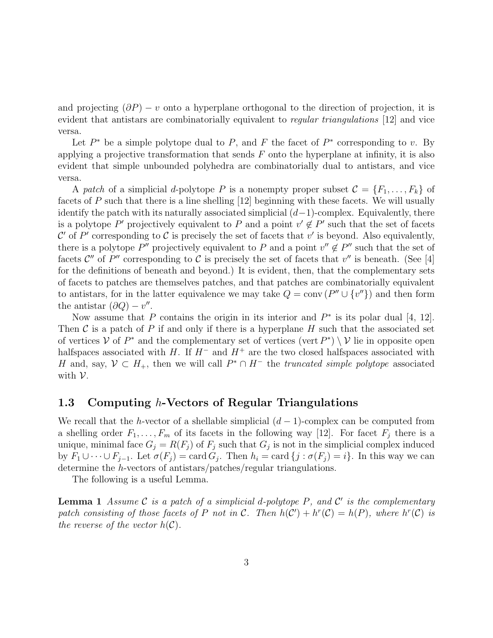and projecting  $(\partial P) - v$  onto a hyperplane orthogonal to the direction of projection, it is evident that antistars are combinatorially equivalent to *regular triangulations* [12] and vice versa.

Let  $P^*$  be a simple polytope dual to P, and F the facet of  $P^*$  corresponding to v. By applying a projective transformation that sends  $F$  onto the hyperplane at infinity, it is also evident that simple unbounded polyhedra are combinatorially dual to antistars, and vice versa.

A patch of a simplicial d-polytope P is a nonempty proper subset  $\mathcal{C} = \{F_1, \ldots, F_k\}$  of facets of P such that there is a line shelling [12] beginning with these facets. We will usually identify the patch with its naturally associated simplicial  $(d-1)$ -complex. Equivalently, there is a polytope P' projectively equivalent to P and a point  $v' \notin P'$  such that the set of facets C' of P' corresponding to C is precisely the set of facets that  $v'$  is beyond. Also equivalently, there is a polytope P'' projectively equivalent to P and a point  $v'' \notin P''$  such that the set of facets  $\mathcal{C}''$  of P'' corresponding to  $\mathcal C$  is precisely the set of facets that  $v''$  is beneath. (See [4] for the definitions of beneath and beyond.) It is evident, then, that the complementary sets of facets to patches are themselves patches, and that patches are combinatorially equivalent to antistars, for in the latter equivalence we may take  $Q = \text{conv}(P'' \cup \{v''\})$  and then form the antistar  $(\partial Q) - v''$ .

Now assume that P contains the origin in its interior and  $P^*$  is its polar dual [4, 12]. Then  $\mathcal C$  is a patch of P if and only if there is a hyperplane H such that the associated set of vertices  $V$  of  $P^*$  and the complementary set of vertices (vert  $P^*$ )  $\setminus V$  lie in opposite open halfspaces associated with H. If  $H^-$  and  $H^+$  are the two closed halfspaces associated with H and, say,  $V \subset H_+$ , then we will call  $P^* \cap H^-$  the truncated simple polytope associated with V.

### 1.3 Computing h-Vectors of Regular Triangulations

We recall that the h-vector of a shellable simplicial  $(d-1)$ -complex can be computed from a shelling order  $F_1, \ldots, F_m$  of its facets in the following way [12]. For facet  $F_j$  there is a unique, minimal face  $G_j = R(F_j)$  of  $F_j$  such that  $G_j$  is not in the simplicial complex induced by  $F_1 \cup \cdots \cup F_{j-1}$ . Let  $\sigma(F_j) = \text{card } G_j$ . Then  $h_i = \text{card } \{j : \sigma(F_j) = i\}$ . In this way we can determine the h-vectors of antistars/patches/regular triangulations.

The following is a useful Lemma.

**Lemma 1** Assume C is a patch of a simplicial d-polytope P, and C' is the complementary patch consisting of those facets of P not in C. Then  $h(\mathcal{C}') + h^r(\mathcal{C}) = h(P)$ , where  $h^r(\mathcal{C})$  is the reverse of the vector  $h(\mathcal{C})$ .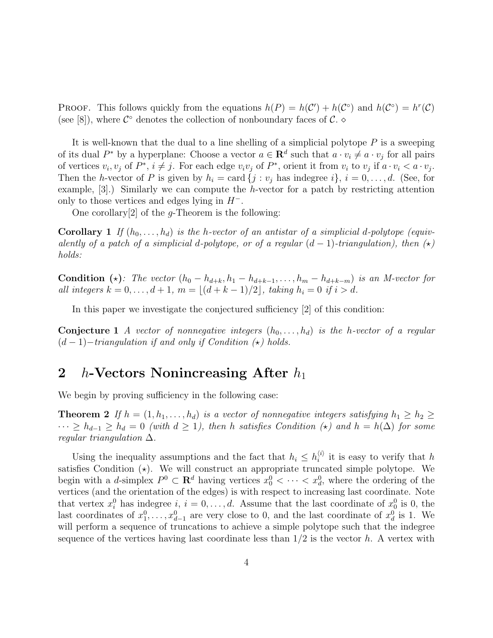**PROOF.** This follows quickly from the equations  $h(P) = h(C') + h(C^{\circ})$  and  $h(C^{\circ}) = h^{r}(C)$ (see [8]), where  $\mathcal{C}^{\circ}$  denotes the collection of nonboundary faces of  $\mathcal{C}^{\circ}$ .

It is well-known that the dual to a line shelling of a simplicial polytope  $P$  is a sweeping of its dual  $P^*$  by a hyperplane: Choose a vector  $a \in \mathbb{R}^d$  such that  $a \cdot v_i \neq a \cdot v_j$  for all pairs of vertices  $v_i, v_j$  of  $P^*, i \neq j$ . For each edge  $v_i v_j$  of  $P^*$ , orient it from  $v_i$  to  $v_j$  if  $a \cdot v_i < a \cdot v_j$ . Then the h-vector of P is given by  $h_i = \text{card } \{j : v_j \text{ has indegree } i\}, i = 0, \ldots, d.$  (See, for example,  $[3]$ .) Similarly we can compute the h-vector for a patch by restricting attention only to those vertices and edges lying in  $H^-$ .

One corollary<sup>[2]</sup> of the *g*-Theorem is the following:

**Corollary 1** If  $(h_0, \ldots, h_d)$  is the h-vector of an antistar of a simplicial d-polytope (equivalently of a patch of a simplicial d-polytope, or of a regular  $(d-1)$ -triangulation), then  $(\star)$ holds:

Condition (\*): The vector  $(h_0 - h_{d+k}, h_1 - h_{d+k-1}, \ldots, h_m - h_{d+k-m})$  is an M-vector for all integers  $k = 0, ..., d + 1, m = \lfloor (d + k - 1)/2 \rfloor$ , taking  $h_i = 0$  if  $i > d$ .

In this paper we investigate the conjectured sufficiency [2] of this condition:

**Conjecture 1** A vector of nonnegative integers  $(h_0, \ldots, h_d)$  is the h-vector of a regular  $(d-1)-triangularian$  if and only if Condition  $(\star)$  holds.

# 2 *h*-Vectors Nonincreasing After  $h_1$

We begin by proving sufficiency in the following case:

**Theorem 2** If  $h = (1, h_1, \ldots, h_d)$  is a vector of nonnegative integers satisfying  $h_1 \geq h_2 \geq$  $\cdots \ge h_{d-1} \ge h_d = 0$  (with  $d \ge 1$ ), then h satisfies Condition ( $\star$ ) and  $h = h(\Delta)$  for some regular triangulation  $\Delta$ .

Using the inequality assumptions and the fact that  $h_i \n\t\leq h_i^{(i)}$  $i^{\langle i \rangle}$  it is easy to verify that h satisfies Condition  $(\star)$ . We will construct an appropriate truncated simple polytope. We begin with a *d*-simplex  $P^0 \subset \mathbf{R}^d$  having vertices  $x_0^0 \lt \cdots \lt x_d^0$ , where the ordering of the vertices (and the orientation of the edges) is with respect to increasing last coordinate. Note that vertex  $x_i^0$  has indegree  $i, i = 0, \ldots, d$ . Assume that the last coordinate of  $x_0^0$  is 0, the last coordinates of  $x_1^0, \ldots, x_{d-1}^0$  are very close to 0, and the last coordinate of  $x_d^0$  is 1. We will perform a sequence of truncations to achieve a simple polytope such that the indegree sequence of the vertices having last coordinate less than  $1/2$  is the vector h. A vertex with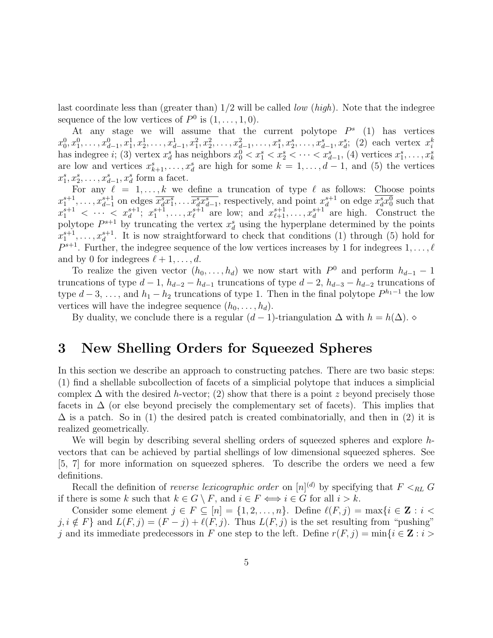last coordinate less than (greater than)  $1/2$  will be called *low (high)*. Note that the indegree sequence of the low vertices of  $P^0$  is  $(1,\ldots,1,0)$ .

At any stage we will assume that the current polytope  $P^s$  (1) has vertices  $x_0^0, x_1^0, \ldots, x_{d-1}^0, x_1^1, x_2^1, \ldots, x_{d-1}^1, x_1^2, x_2^2, \ldots, x_{d-1}^2, \ldots, x_1^s, x_2^s, \ldots, x_{d-1}^s, x_d^s;$  (2) each vertex  $x_i^k$ has indegree *i*; (3) vertex  $x_d^s$  has neighbors  $x_0^0 < x_1^s < x_2^s < \cdots < x_{d-1}^s$ , (4) vertices  $x_1^s, \ldots, x_k^s$ are low and vertices  $x_{k+1}^s, \ldots, x_d^s$  are high for some  $k = 1, \ldots, d-1$ , and (5) the vertices  $x_1^s, x_2^s, \ldots, x_{d-1}^s, x_d^s$  form a facet.

For any  $\ell = 1, \ldots, k$  we define a truncation of type  $\ell$  as follows: Choose points  $x_1^{s+1}, \ldots, x_{d-1}^{s+1}$  on edges  $\overline{x_d^s x_1^s}, \ldots \overline{x_d^s x_{d-1}^s}$ , respectively, and point  $x_d^{s+1}$  on edge  $\overline{x_d^s x_0^0}$  such that  $x_1^{s+1} < \cdots < x_d^{s+1}; x_1^{s+1}, \ldots, x_\ell^{s+1}$  are low; and  $x_{\ell+1}^{s+1}, \ldots, x_d^{s+1}$  are high. Construct the polytope  $P^{s+1}$  by truncating the vertex  $x_d^s$  using the hyperplane determined by the points  $x_1^{s+1}, \ldots, x_d^{s+1}$ . It is now straightforward to check that conditions (1) through (5) hold for  $P^{s+1}$ . Further, the indegree sequence of the low vertices increases by 1 for indegrees  $1, \ldots, \ell$ and by 0 for indegrees  $\ell + 1, \ldots, d$ .

To realize the given vector  $(h_0, \ldots, h_d)$  we now start with  $P^0$  and perform  $h_{d-1} - 1$ truncations of type  $d-1$ ,  $h_{d-2} - h_{d-1}$  truncations of type  $d-2$ ,  $h_{d-3} - h_{d-2}$  truncations of type  $d-3, \ldots$ , and  $h_1-h_2$  truncations of type 1. Then in the final polytope  $P^{h_1-1}$  the low vertices will have the indegree sequence  $(h_0, \ldots, h_d)$ .

By duality, we conclude there is a regular  $(d-1)$ -triangulation  $\Delta$  with  $h = h(\Delta)$ .

# 3 New Shelling Orders for Squeezed Spheres

In this section we describe an approach to constructing patches. There are two basic steps: (1) find a shellable subcollection of facets of a simplicial polytope that induces a simplicial complex  $\Delta$  with the desired h-vector; (2) show that there is a point z beyond precisely those facets in  $\Delta$  (or else beyond precisely the complementary set of facets). This implies that  $\Delta$  is a patch. So in (1) the desired patch is created combinatorially, and then in (2) it is realized geometrically.

We will begin by describing several shelling orders of squeezed spheres and explore hvectors that can be achieved by partial shellings of low dimensional squeezed spheres. See [5, 7] for more information on squeezed spheres. To describe the orders we need a few definitions.

Recall the definition of *reverse lexicographic order* on  $[n]^{(d)}$  by specifying that  $F <_{RL} G$ if there is some  $k$  such that  $k \in G \setminus F$ , and  $i \in F \Longleftrightarrow i \in G$  for all  $i > k$ .

Consider some element  $j \in F \subseteq [n] = \{1, 2, \ldots, n\}$ . Define  $\ell(F, j) = \max\{i \in \mathbb{Z} : i < j\}$  $j, i \notin F$  and  $L(F, j) = (F - j) + \ell(F, j)$ . Thus  $L(F, j)$  is the set resulting from "pushing" j and its immediate predecessors in F one step to the left. Define  $r(F, j) = \min\{i \in \mathbf{Z} : i >$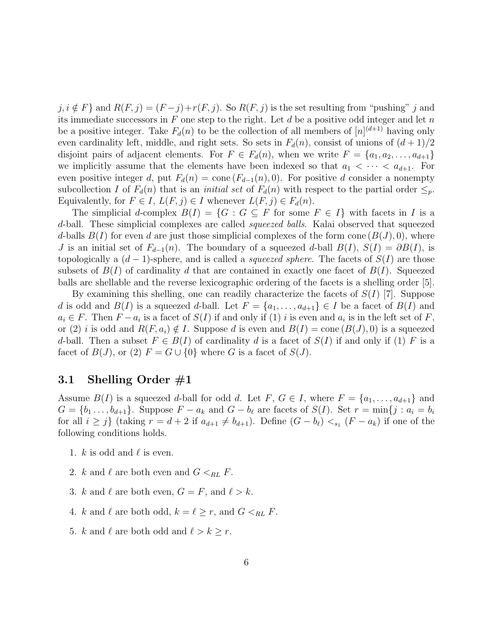$j, i \notin F$ } and  $R(F, j) = (F - j) + r(F, j)$ . So  $R(F, j)$  is the set resulting from "pushing" j and its immediate successors in  $F$  one step to the right. Let  $d$  be a positive odd integer and let  $n$ be a positive integer. Take  $F_d(n)$  to be the collection of all members of  $[n]^{(d+1)}$  having only even cardinality left, middle, and right sets. So sets in  $F_d(n)$ , consist of unions of  $(d+1)/2$ disjoint pairs of adjacent elements. For  $F \in F_d(n)$ , when we write  $F = \{a_1, a_2, \ldots, a_{d+1}\}\$ we implicitly assume that the elements have been indexed so that  $a_1 < \cdots < a_{d+1}$ . For even positive integer d, put  $F_d(n) = \text{cone}(F_{d-1}(n), 0)$ . For positive d consider a nonempty subcollection I of  $F_d(n)$  that is an *initial set* of  $F_d(n)$  with respect to the partial order  $\leq_p$ . Equivalently, for  $F \in I$ ,  $L(F, j) \in I$  whenever  $L(F, j) \in F_d(n)$ .

The simplicial d-complex  $B(I) = \{G : G \subseteq F \text{ for some } F \in I\}$  with facets in I is a d-ball. These simplicial complexes are called *squeezed balls*. Kalai observed that squeezed d-balls  $B(I)$  for even d are just those simplicial complexes of the form cone  $(B(J), 0)$ , where J is an initial set of  $F_{d-1}(n)$ . The boundary of a squeezed d-ball  $B(I)$ ,  $S(I) = \partial B(I)$ , is topologically a  $(d-1)$ -sphere, and is called a *squeezed sphere*. The facets of  $S(I)$  are those subsets of  $B(I)$  of cardinality d that are contained in exactly one facet of  $B(I)$ . Squeezed balls are shellable and the reverse lexicographic ordering of the facets is a shelling order [5].

By examining this shelling, one can readily characterize the facets of  $S(I)$  [7]. Suppose d is odd and  $B(I)$  is a squeezed d-ball. Let  $F = \{a_1, \ldots, a_{d+1}\} \in I$  be a facet of  $B(I)$  and  $a_i \in F$ . Then  $F - a_i$  is a facet of  $S(I)$  if and only if (1) i is even and  $a_i$  is in the left set of F, or (2) i is odd and  $R(F, a_i) \notin I$ . Suppose d is even and  $B(I) = \text{cone}(B(J), 0)$  is a squeezed d-ball. Then a subset  $F \in B(I)$  of cardinality d is a facet of  $S(I)$  if and only if (1) F is a facet of  $B(J)$ , or (2)  $F = G \cup \{0\}$  where G is a facet of  $S(J)$ .

## 3.1 Shelling Order #1

Assume  $B(I)$  is a squeezed d-ball for odd d. Let F,  $G \in I$ , where  $F = \{a_1, \ldots, a_{d+1}\}\$  and  $G = \{b_1, \ldots, b_{d+1}\}.$  Suppose  $F - a_k$  and  $G - b_\ell$  are facets of  $S(I)$ . Set  $r = \min\{j : a_i = b_i\}$ for all  $i \geq j$  (taking  $r = d + 2$  if  $a_{d+1} \neq b_{d+1}$ ). Define  $(G - b_{\ell}) <sub>s_1</sub>(F - a_k)$  if one of the following conditions holds.

- 1. k is odd and  $\ell$  is even.
- 2. k and  $\ell$  are both even and  $G <_{RL} F$ .
- 3. k and  $\ell$  are both even,  $G = F$ , and  $\ell > k$ .
- 4. k and  $\ell$  are both odd,  $k = \ell \geq r$ , and  $G <_{RL} F$ .
- 5. k and  $\ell$  are both odd and  $\ell > k \geq r$ .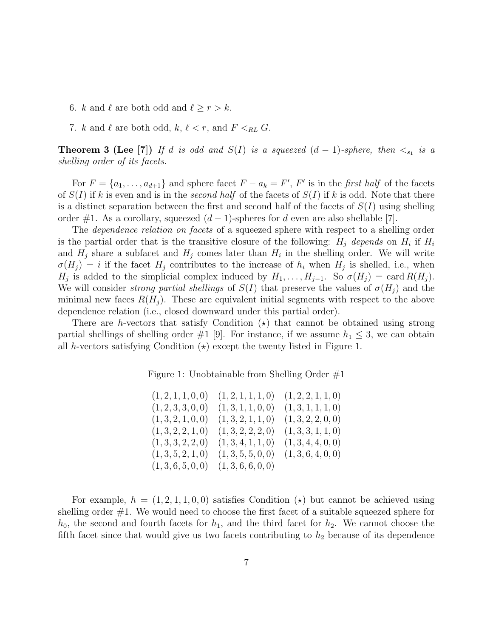- 6. k and  $\ell$  are both odd and  $\ell \geq r > k$ .
- 7. k and  $\ell$  are both odd,  $k, \ell < r$ , and  $F <_{RL} G$ .

**Theorem 3 (Lee [7])** If d is odd and  $S(I)$  is a squeezed  $(d-1)$ -sphere, then  $\lt_{s_1}$  is a shelling order of its facets.

For  $F = \{a_1, \ldots, a_{d+1}\}\$ and sphere facet  $F - a_k = F'$ ,  $F'$  is in the first half of the facets of  $S(I)$  if k is even and is in the second half of the facets of  $S(I)$  if k is odd. Note that there is a distinct separation between the first and second half of the facets of  $S(I)$  using shelling order #1. As a corollary, squeezed  $(d-1)$ -spheres for d even are also shellable [7].

The *dependence relation on facets* of a squeezed sphere with respect to a shelling order is the partial order that is the transitive closure of the following:  $H_j$  depends on  $H_i$  if  $H_i$ and  $H_j$  share a subfacet and  $H_j$  comes later than  $H_i$  in the shelling order. We will write  $\sigma(H_j) = i$  if the facet  $H_j$  contributes to the increase of  $h_i$  when  $H_j$  is shelled, i.e., when  $H_j$  is added to the simplicial complex induced by  $H_1, \ldots, H_{j-1}$ . So  $\sigma(H_j) = \text{card } R(H_j)$ . We will consider strong partial shellings of  $S(I)$  that preserve the values of  $\sigma(H_i)$  and the minimal new faces  $R(H_i)$ . These are equivalent initial segments with respect to the above dependence relation (i.e., closed downward under this partial order).

There are h-vectors that satisfy Condition  $\star$  that cannot be obtained using strong partial shellings of shelling order  $\#1$  [9]. For instance, if we assume  $h_1 \leq 3$ , we can obtain all h-vectors satisfying Condition  $(\star)$  except the twenty listed in Figure 1.

Figure 1: Unobtainable from Shelling Order #1

| (1, 2, 1, 1, 0, 0) | (1, 2, 1, 1, 1, 0) | (1, 2, 2, 1, 1, 0) |
|--------------------|--------------------|--------------------|
| (1, 2, 3, 3, 0, 0) | (1,3,1,1,0,0)      | (1,3,1,1,1,0)      |
| (1,3,2,1,0,0)      | (1,3,2,1,1,0)      | (1,3,2,2,0,0)      |
| (1,3,2,2,1,0)      | (1,3,2,2,2,0)      | (1,3,3,1,1,0)      |
| (1,3,3,2,2,0)      | (1,3,4,1,1,0)      | (1, 3, 4, 4, 0, 0) |
| (1,3,5,2,1,0)      | (1,3,5,5,0,0)      | (1,3,6,4,0,0)      |
| (1,3,6,5,0,0)      | (1,3,6,6,0,0)      |                    |

For example,  $h = (1, 2, 1, 1, 0, 0)$  satisfies Condition  $(\star)$  but cannot be achieved using shelling order #1. We would need to choose the first facet of a suitable squeezed sphere for  $h_0$ , the second and fourth facets for  $h_1$ , and the third facet for  $h_2$ . We cannot choose the fifth facet since that would give us two facets contributing to  $h_2$  because of its dependence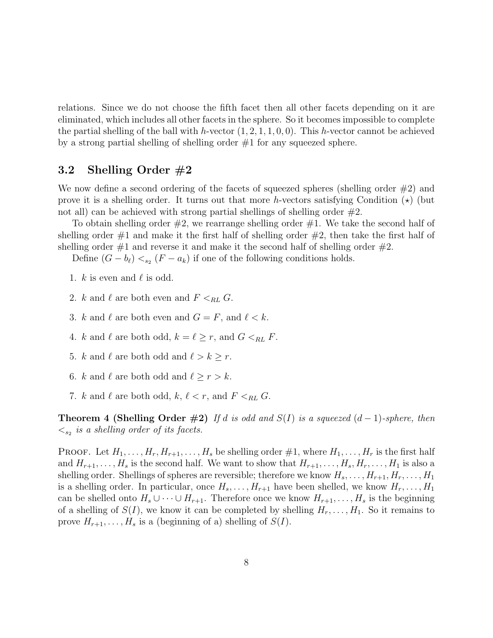relations. Since we do not choose the fifth facet then all other facets depending on it are eliminated, which includes all other facets in the sphere. So it becomes impossible to complete the partial shelling of the ball with h-vector  $(1, 2, 1, 1, 0, 0)$ . This h-vector cannot be achieved by a strong partial shelling of shelling order #1 for any squeezed sphere.

### 3.2 Shelling Order #2

We now define a second ordering of the facets of squeezed spheres (shelling order  $\#2$ ) and prove it is a shelling order. It turns out that more h-vectors satisfying Condition  $(\star)$  (but not all) can be achieved with strong partial shellings of shelling order  $#2$ .

To obtain shelling order  $\#2$ , we rearrange shelling order  $\#1$ . We take the second half of shelling order  $\#1$  and make it the first half of shelling order  $\#2$ , then take the first half of shelling order  $\#1$  and reverse it and make it the second half of shelling order  $\#2$ .

Define  $(G - b_{\ell}) <_{s_2} (F - a_k)$  if one of the following conditions holds.

- 1.  $k$  is even and  $\ell$  is odd.
- 2. k and  $\ell$  are both even and  $F <_{RL} G$ .
- 3. k and  $\ell$  are both even and  $G = F$ , and  $\ell < k$ .
- 4. k and  $\ell$  are both odd,  $k = \ell \geq r$ , and  $G \leq_{RL} F$ .
- 5. k and  $\ell$  are both odd and  $\ell > k \geq r$ .
- 6. k and  $\ell$  are both odd and  $\ell \geq r > k$ .
- 7. k and  $\ell$  are both odd,  $k, \ell < r$ , and  $F <_{RL} G$ .

**Theorem 4 (Shelling Order #2)** If d is odd and  $S(I)$  is a squeezed  $(d-1)$ -sphere, then  $\langle \xi_{s_2} \rangle$  is a shelling order of its facets.

**PROOF.** Let  $H_1, \ldots, H_r, H_{r+1}, \ldots, H_s$  be shelling order  $\#1$ , where  $H_1, \ldots, H_r$  is the first half and  $H_{r+1}, \ldots, H_s$  is the second half. We want to show that  $H_{r+1}, \ldots, H_s, H_r, \ldots, H_1$  is also a shelling order. Shellings of spheres are reversible; therefore we know  $H_s, \ldots, H_{r+1}, H_r, \ldots, H_1$ is a shelling order. In particular, once  $H_s, \ldots, H_{r+1}$  have been shelled, we know  $H_r, \ldots, H_1$ can be shelled onto  $H_s \cup \cdots \cup H_{r+1}$ . Therefore once we know  $H_{r+1}, \ldots, H_s$  is the beginning of a shelling of  $S(I)$ , we know it can be completed by shelling  $H_r, \ldots, H_1$ . So it remains to prove  $H_{r+1}, \ldots, H_s$  is a (beginning of a) shelling of  $S(I)$ .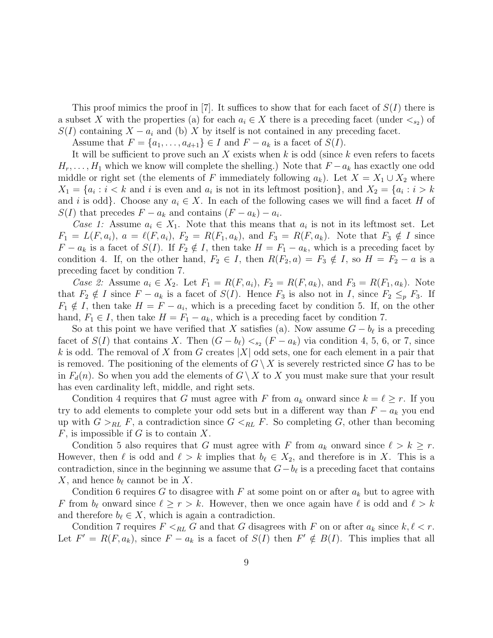This proof mimics the proof in  $|7|$ . It suffices to show that for each facet of  $S(I)$  there is a subset X with the properties (a) for each  $a_i \in X$  there is a preceding facet (under  $\lt_{s_2}$ ) of  $S(I)$  containing  $X - a_i$  and (b) X by itself is not contained in any preceding facet.

Assume that  $F = \{a_1, \ldots, a_{d+1}\} \in I$  and  $F - a_k$  is a facet of  $S(I)$ .

It will be sufficient to prove such an X exists when k is odd (since k even refers to facets  $H_r, \ldots, H_1$  which we know will complete the shelling.) Note that  $F - a_k$  has exactly one odd middle or right set (the elements of F immediately following  $a_k$ ). Let  $X = X_1 \cup X_2$  where  $X_1 = \{a_i : i < k$  and i is even and  $a_i$  is not in its leftmost position}, and  $X_2 = \{a_i : i > k\}$ and i is odd}. Choose any  $a_i \in X$ . In each of the following cases we will find a facet H of  $S(I)$  that precedes  $F - a_k$  and contains  $(F - a_k) - a_i$ .

Case 1: Assume  $a_i \in X_1$ . Note that this means that  $a_i$  is not in its leftmost set. Let  $F_1 = L(F, a_i), a = \ell(F, a_i), F_2 = R(F_1, a_k), \text{ and } F_3 = R(F, a_k).$  Note that  $F_3 \notin I$  since  $F - a_k$  is a facet of  $S(I)$ . If  $F_2 \notin I$ , then take  $H = F_1 - a_k$ , which is a preceding facet by condition 4. If, on the other hand,  $F_2 \in I$ , then  $R(F_2, a) = F_3 \notin I$ , so  $H = F_2 - a$  is a preceding facet by condition 7.

*Case 2:* Assume  $a_i \in X_2$ . Let  $F_1 = R(F, a_i)$ ,  $F_2 = R(F, a_k)$ , and  $F_3 = R(F_1, a_k)$ . Note that  $F_2 \notin I$  since  $F - a_k$  is a facet of  $S(I)$ . Hence  $F_3$  is also not in I, since  $F_2 \leq_p F_3$ . If  $F_1 \notin I$ , then take  $H = F - a_i$ , which is a preceding facet by condition 5. If, on the other hand,  $F_1 \in I$ , then take  $H = F_1 - a_k$ , which is a preceding facet by condition 7.

So at this point we have verified that X satisfies (a). Now assume  $G - b_{\ell}$  is a preceding facet of  $S(I)$  that contains X. Then  $(G - b_{\ell}) <_{s_2} (F - a_k)$  via condition 4, 5, 6, or 7, since k is odd. The removal of X from G creates  $|X|$  odd sets, one for each element in a pair that is removed. The positioning of the elements of  $G \setminus X$  is severely restricted since G has to be in  $F_d(n)$ . So when you add the elements of  $G \setminus X$  to X you must make sure that your result has even cardinality left, middle, and right sets.

Condition 4 requires that G must agree with F from  $a_k$  onward since  $k = \ell \geq r$ . If you try to add elements to complete your odd sets but in a different way than  $F - a_k$  you end up with  $G >_{RL} F$ , a contradiction since  $G <_{RL} F$ . So completing G, other than becoming  $F$ , is impossible if G is to contain X.

Condition 5 also requires that G must agree with F from  $a_k$  onward since  $\ell > k \geq r$ . However, then  $\ell$  is odd and  $\ell > k$  implies that  $b_\ell \in X_2$ , and therefore is in X. This is a contradiction, since in the beginning we assume that  $G - b_{\ell}$  is a preceding facet that contains X, and hence  $b_{\ell}$  cannot be in X.

Condition 6 requires G to disagree with F at some point on or after  $a_k$  but to agree with F from  $b_\ell$  onward since  $\ell \geq r > k$ . However, then we once again have  $\ell$  is odd and  $\ell > k$ and therefore  $b_\ell \in X$ , which is again a contradiction.

Condition 7 requires  $F \leq_{RL} G$  and that G disagrees with F on or after  $a_k$  since  $k, \ell < r$ . Let  $F' = R(F, a_k)$ , since  $F - a_k$  is a facet of  $S(I)$  then  $F' \notin B(I)$ . This implies that all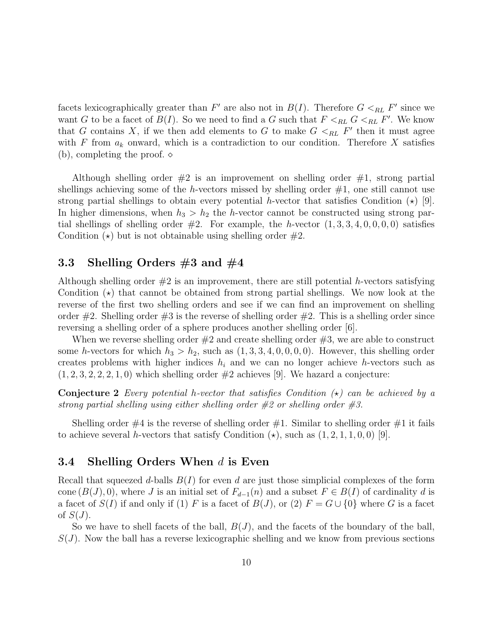facets lexicographically greater than  $F'$  are also not in  $B(I)$ . Therefore  $G <_{RL} F'$  since we want G to be a facet of  $B(I)$ . So we need to find a G such that  $F \leq_{RL} G \leq_{RL} F'$ . We know that G contains X, if we then add elements to G to make  $G \lt_{RL} F'$  then it must agree with F from  $a_k$  onward, which is a contradiction to our condition. Therefore X satisfies (b), completing the proof.  $\diamond$ 

Although shelling order  $\#2$  is an improvement on shelling order  $\#1$ , strong partial shellings achieving some of the h-vectors missed by shelling order  $#1$ , one still cannot use strong partial shellings to obtain every potential h-vector that satisfies Condition  $(\star)$  [9]. In higher dimensions, when  $h_3 > h_2$  the h-vector cannot be constructed using strong partial shellings of shelling order  $#2$ . For example, the h-vector  $(1, 3, 3, 4, 0, 0, 0, 0)$  satisfies Condition  $(\star)$  but is not obtainable using shelling order  $\#2$ .

# 3.3 Shelling Orders  $#3$  and  $#4$

Although shelling order  $#2$  is an improvement, there are still potential h-vectors satisfying Condition  $(\star)$  that cannot be obtained from strong partial shellings. We now look at the reverse of the first two shelling orders and see if we can find an improvement on shelling order  $\#2$ . Shelling order  $\#3$  is the reverse of shelling order  $\#2$ . This is a shelling order since reversing a shelling order of a sphere produces another shelling order [6].

When we reverse shelling order  $#2$  and create shelling order  $#3$ , we are able to construct some h-vectors for which  $h_3 > h_2$ , such as  $(1, 3, 3, 4, 0, 0, 0, 0)$ . However, this shelling order creates problems with higher indices  $h_i$  and we can no longer achieve h-vectors such as  $(1, 2, 3, 2, 2, 2, 1, 0)$  which shelling order  $\#2$  achieves [9]. We hazard a conjecture:

**Conjecture 2** Every potential h-vector that satisfies Condition  $(\star)$  can be achieved by a strong partial shelling using either shelling order #2 or shelling order #3.

Shelling order  $\#4$  is the reverse of shelling order  $\#1$ . Similar to shelling order  $\#1$  it fails to achieve several h-vectors that satisfy Condition  $(\star)$ , such as  $(1, 2, 1, 1, 0, 0)$  [9].

### 3.4 Shelling Orders When d is Even

Recall that squeezed d-balls  $B(I)$  for even d are just those simplicial complexes of the form cone  $(B(J), 0)$ , where J is an initial set of  $F_{d-1}(n)$  and a subset  $F \in B(I)$  of cardinality d is a facet of  $S(I)$  if and only if (1) F is a facet of  $B(J)$ , or (2)  $F = G \cup \{0\}$  where G is a facet of  $S(J)$ .

So we have to shell facets of the ball,  $B(J)$ , and the facets of the boundary of the ball,  $S(J)$ . Now the ball has a reverse lexicographic shelling and we know from previous sections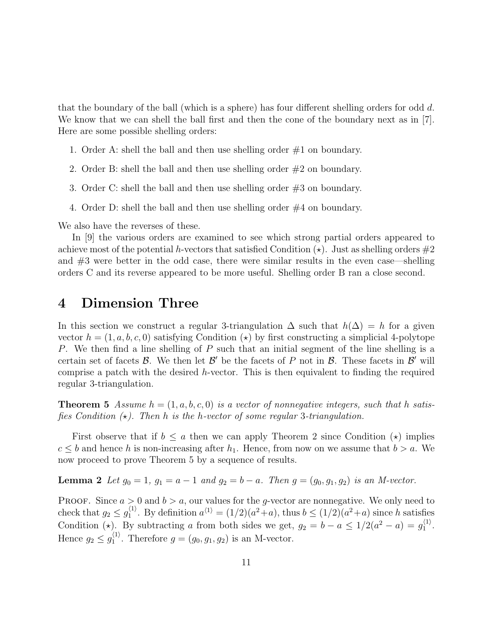that the boundary of the ball (which is a sphere) has four different shelling orders for odd d. We know that we can shell the ball first and then the cone of the boundary next as in [7]. Here are some possible shelling orders:

- 1. Order A: shell the ball and then use shelling order  $#1$  on boundary.
- 2. Order B: shell the ball and then use shelling order #2 on boundary.
- 3. Order C: shell the ball and then use shelling order #3 on boundary.
- 4. Order D: shell the ball and then use shelling order #4 on boundary.

We also have the reverses of these.

In [9] the various orders are examined to see which strong partial orders appeared to achieve most of the potential h-vectors that satisfied Condition  $(\star)$ . Just as shelling orders  $\#2$ and  $#3$  were better in the odd case, there were similar results in the even case—shelling orders C and its reverse appeared to be more useful. Shelling order B ran a close second.

## 4 Dimension Three

In this section we construct a regular 3-triangulation  $\Delta$  such that  $h(\Delta) = h$  for a given vector  $h = (1, a, b, c, 0)$  satisfying Condition ( $\star$ ) by first constructing a simplicial 4-polytope P. We then find a line shelling of P such that an initial segment of the line shelling is a certain set of facets  $\mathcal{B}$ . We then let  $\mathcal{B}'$  be the facets of P not in  $\mathcal{B}$ . These facets in  $\mathcal{B}'$  will comprise a patch with the desired  $h$ -vector. This is then equivalent to finding the required regular 3-triangulation.

**Theorem 5** Assume  $h = (1, a, b, c, 0)$  is a vector of nonnegative integers, such that h satisfies Condition  $(\star)$ . Then h is the h-vector of some regular 3-triangulation.

First observe that if  $b \leq a$  then we can apply Theorem 2 since Condition  $(\star)$  implies  $c \leq b$  and hence h is non-increasing after  $h_1$ . Hence, from now on we assume that  $b > a$ . We now proceed to prove Theorem 5 by a sequence of results.

**Lemma 2** Let  $g_0 = 1$ ,  $g_1 = a - 1$  and  $g_2 = b - a$ . Then  $g = (g_0, g_1, g_2)$  is an M-vector.

**PROOF.** Since  $a > 0$  and  $b > a$ , our values for the g-vector are nonnegative. We only need to check that  $g_2 \leq g_1^{\langle 1 \rangle}$ <sup>(1)</sup>. By definition  $a^{(1)} = (1/2)(a^2 + a)$ , thus  $b \leq (1/2)(a^2 + a)$  since h satisfies Condition ( $\star$ ). By subtracting a from both sides we get,  $g_2 = b - a \leq 1/2(a^2 - a) = g_1^{(1)}$  $\mathbf{1}^{(1)}$ . Hence  $g_2 \leq g_1^{\langle 1 \rangle}$  $j_1^{(1)}$ . Therefore  $g = (g_0, g_1, g_2)$  is an M-vector.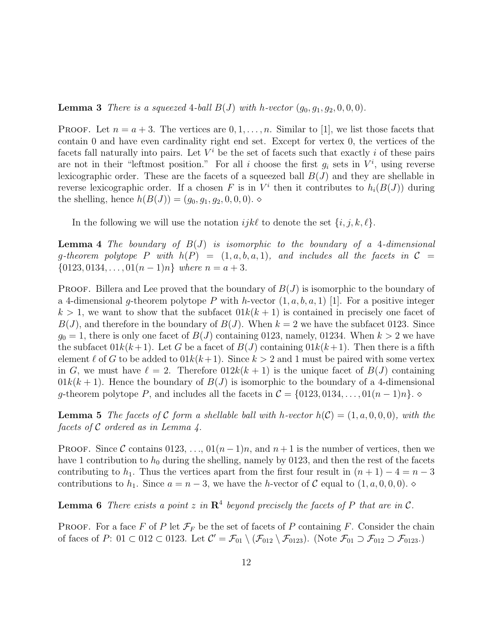**Lemma 3** There is a squeezed 4-ball  $B(J)$  with h-vector  $(g_0, g_1, g_2, 0, 0, 0)$ .

**PROOF.** Let  $n = a + 3$ . The vertices are  $0, 1, \ldots, n$ . Similar to [1], we list those facets that contain 0 and have even cardinality right end set. Except for vertex 0, the vertices of the facets fall naturally into pairs. Let  $V^i$  be the set of facets such that exactly i of these pairs are not in their "leftmost position." For all i choose the first  $g_i$  sets in  $V^i$ , using reverse lexicographic order. These are the facets of a squeezed ball  $B(J)$  and they are shellable in reverse lexicographic order. If a chosen F is in  $V^i$  then it contributes to  $h_i(B(J))$  during the shelling, hence  $h(B(J)) = (g_0, g_1, g_2, 0, 0, 0)$ .

In the following we will use the notation  $ijk\ell$  to denote the set  $\{i, j, k, \ell\}.$ 

**Lemma 4** The boundary of  $B(J)$  is isomorphic to the boundary of a 4-dimensional g-theorem polytope P with  $h(P) = (1, a, b, a, 1)$ , and includes all the facets in  $C =$  $\{0123, 0134, \ldots, 01(n-1)n\}$  where  $n = a + 3$ .

**PROOF.** Billera and Lee proved that the boundary of  $B(J)$  is isomorphic to the boundary of a 4-dimensional g-theorem polytope P with h-vector  $(1, a, b, a, 1)$  [1]. For a positive integer  $k > 1$ , we want to show that the subfacet  $01k(k + 1)$  is contained in precisely one facet of  $B(J)$ , and therefore in the boundary of  $B(J)$ . When  $k = 2$  we have the subfacet 0123. Since  $g_0 = 1$ , there is only one facet of  $B(J)$  containing 0123, namely, 01234. When  $k > 2$  we have the subfacet  $01k(k+1)$ . Let G be a facet of  $B(J)$  containing  $01k(k+1)$ . Then there is a fifth element  $\ell$  of G to be added to  $01k(k+1)$ . Since  $k > 2$  and 1 must be paired with some vertex in G, we must have  $\ell = 2$ . Therefore  $0.012k(k + 1)$  is the unique facet of  $B(J)$  containing  $01k(k+1)$ . Hence the boundary of  $B(J)$  is isomorphic to the boundary of a 4-dimensional g-theorem polytope P, and includes all the facets in  $\mathcal{C} = \{0123, 0134, \ldots, 01(n-1)n\}$ .

**Lemma 5** The facets of C form a shellable ball with h-vector  $h(C) = (1, a, 0, 0, 0)$ , with the facets of C ordered as in Lemma 4.

**PROOF.** Since C contains 0123, ...,  $01(n-1)n$ , and  $n+1$  is the number of vertices, then we have 1 contribution to  $h_0$  during the shelling, namely by 0123, and then the rest of the facets contributing to  $h_1$ . Thus the vertices apart from the first four result in  $(n + 1) - 4 = n - 3$ contributions to  $h_1$ . Since  $a = n - 3$ , we have the h-vector of C equal to  $(1, a, 0, 0, 0)$ .

**Lemma 6** There exists a point z in  $\mathbb{R}^4$  beyond precisely the facets of P that are in C.

**PROOF.** For a face F of P let  $\mathcal{F}_F$  be the set of facets of P containing F. Consider the chain of faces of  $P: 01 \subset 012 \subset 0123$ . Let  $\mathcal{C}' = \mathcal{F}_{01} \setminus (\mathcal{F}_{012} \setminus \mathcal{F}_{0123})$ . (Note  $\mathcal{F}_{01} \supset \mathcal{F}_{012} \supset \mathcal{F}_{0123}$ .)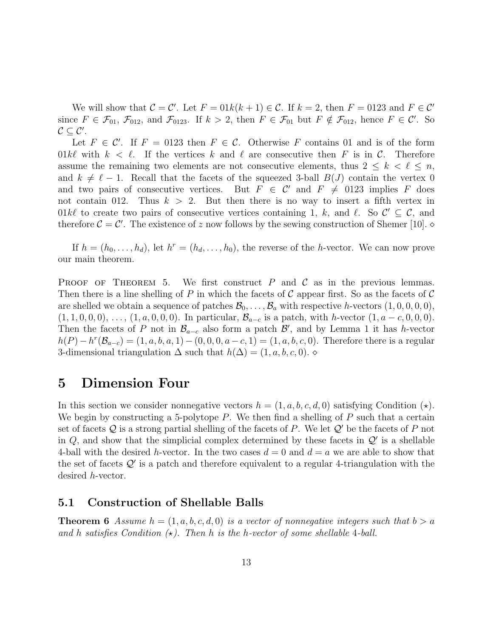We will show that  $C = C'$ . Let  $F = 01k(k + 1) \in C$ . If  $k = 2$ , then  $F = 0123$  and  $F \in C'$ since  $F \in \mathcal{F}_{01}$ ,  $\mathcal{F}_{012}$ , and  $\mathcal{F}_{0123}$ . If  $k > 2$ , then  $F \in \mathcal{F}_{01}$  but  $F \notin \mathcal{F}_{012}$ , hence  $F \in \mathcal{C}'$ . So  $\mathcal{C} \subseteq \mathcal{C}'$ .

Let  $F \in \mathcal{C}'$ . If  $F = 0123$  then  $F \in \mathcal{C}$ . Otherwise F contains 01 and is of the form  $01k\ell$  with  $k < \ell$ . If the vertices k and  $\ell$  are consecutive then F is in C. Therefore assume the remaining two elements are not consecutive elements, thus  $2 \leq k \leq \ell \leq n$ , and  $k \neq \ell - 1$ . Recall that the facets of the squeezed 3-ball  $B(J)$  contain the vertex 0 and two pairs of consecutive vertices. But  $F \in \mathcal{C}'$  and  $F \neq 0123$  implies F does not contain 012. Thus  $k > 2$ . But then there is no way to insert a fifth vertex in 01kl to create two pairs of consecutive vertices containing 1, k, and l. So  $\mathcal{C}' \subseteq \mathcal{C}$ , and therefore  $C = C'$ . The existence of z now follows by the sewing construction of Shemer [10].

If  $h = (h_0, \ldots, h_d)$ , let  $h^r = (h_d, \ldots, h_0)$ , the reverse of the h-vector. We can now prove our main theorem.

**PROOF OF THEOREM 5.** We first construct  $P$  and  $C$  as in the previous lemmas. Then there is a line shelling of P in which the facets of C appear first. So as the facets of C are shelled we obtain a sequence of patches  $\mathcal{B}_0, \ldots, \mathcal{B}_a$  with respective h-vectors  $(1, 0, 0, 0, 0)$ ,  $(1, 1, 0, 0, 0), \ldots, (1, a, 0, 0, 0)$ . In particular,  $\mathcal{B}_{a-c}$  is a patch, with h-vector  $(1, a-c, 0, 0, 0)$ . Then the facets of P not in  $\mathcal{B}_{a-c}$  also form a patch  $\mathcal{B}'$ , and by Lemma 1 it has h-vector  $h(P) - h^{r}(\mathcal{B}_{a-c}) = (1, a, b, a, 1) - (0, 0, 0, a-c, 1) = (1, a, b, c, 0)$ . Therefore there is a regular 3-dimensional triangulation  $\Delta$  such that  $h(\Delta) = (1, a, b, c, 0)$ .

# 5 Dimension Four

In this section we consider nonnegative vectors  $h = (1, a, b, c, d, 0)$  satisfying Condition  $(\star)$ . We begin by constructing a 5-polytope  $P$ . We then find a shelling of  $P$  such that a certain set of facets  $Q$  is a strong partial shelling of the facets of P. We let  $Q'$  be the facets of P not in  $Q$ , and show that the simplicial complex determined by these facets in  $Q'$  is a shellable 4-ball with the desired h-vector. In the two cases  $d = 0$  and  $d = a$  we are able to show that the set of facets  $\mathcal{Q}'$  is a patch and therefore equivalent to a regular 4-triangulation with the desired h-vector.

### 5.1 Construction of Shellable Balls

**Theorem 6** Assume  $h = (1, a, b, c, d, 0)$  is a vector of nonnegative integers such that  $b > a$ and h satisfies Condition  $(\star)$ . Then h is the h-vector of some shellable 4-ball.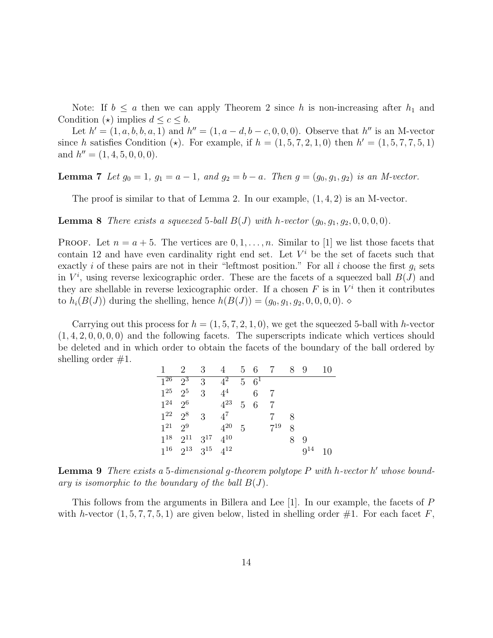Note: If  $b \le a$  then we can apply Theorem 2 since h is non-increasing after  $h_1$  and Condition ( $\star$ ) implies  $d \leq c \leq b$ .

Let  $h' = (1, a, b, b, a, 1)$  and  $h'' = (1, a - d, b - c, 0, 0, 0)$ . Observe that  $h''$  is an M-vector since h satisfies Condition ( $\star$ ). For example, if  $h = (1, 5, 7, 2, 1, 0)$  then  $h' = (1, 5, 7, 7, 5, 1)$ and  $h'' = (1, 4, 5, 0, 0, 0)$ .

Lemma 7 Let  $g_0 = 1$ ,  $g_1 = a - 1$ , and  $g_2 = b - a$ . Then  $g = (g_0, g_1, g_2)$  is an M-vector.

The proof is similar to that of Lemma 2. In our example,  $(1, 4, 2)$  is an M-vector.

**Lemma 8** There exists a squeezed 5-ball  $B(J)$  with h-vector  $(g_0, g_1, g_2, 0, 0, 0, 0)$ .

**PROOF.** Let  $n = a + 5$ . The vertices are  $0, 1, \ldots, n$ . Similar to [1] we list those facets that contain 12 and have even cardinality right end set. Let  $V^i$  be the set of facets such that exactly i of these pairs are not in their "leftmost position." For all i choose the first  $q_i$  sets in  $V^i$ , using reverse lexicographic order. These are the facets of a squeezed ball  $B(J)$  and they are shellable in reverse lexicographic order. If a chosen  $F$  is in  $V^i$  then it contributes to  $h_i(B(J))$  during the shelling, hence  $h(B(J)) = (g_0, g_1, g_2, 0, 0, 0, 0)$ .

Carrying out this process for  $h = (1, 5, 7, 2, 1, 0)$ , we get the squeezed 5-ball with h-vector  $(1, 4, 2, 0, 0, 0, 0)$  and the following facets. The superscripts indicate which vertices should be deleted and in which order to obtain the facets of the boundary of the ball ordered by shelling order  $\#1$ .

|          | 2                          | $3\phantom{.0}$ | $\overline{4}$  | 56             |            | - 7      | 89 |          | 10 |
|----------|----------------------------|-----------------|-----------------|----------------|------------|----------|----|----------|----|
| $1^{26}$ | $2^{\overline{3}}$         | 3               | $\frac{1}{4^2}$ | $5\quad 6^1$   |            |          |    |          |    |
| $1^{25}$ | $2^5$                      | 3               | $4^4$           |                | 6          | -7       |    |          |    |
| $1^{24}$ | $-2^6$                     |                 | $4^{23}$        |                | $5\quad 6$ | 7        |    |          |    |
| $1^{22}$ | $2^8$                      | 3               | $4^7$           |                |            |          | x  |          |    |
| $1^{21}$ | $2^9$                      |                 | $4^{20}$        | $\overline{5}$ |            | $7^{19}$ | 8  |          |    |
| $1^{18}$ | $2^{11}$ $3^{17}$ $4^{10}$ |                 |                 |                |            |          | 8. | Q        |    |
| $1^{16}$ | $2^{13}$ $3^{15}$ $4^{12}$ |                 |                 |                |            |          |    | $9^{14}$ | 10 |

**Lemma 9** There exists a 5-dimensional g-theorem polytope  $P$  with h-vector  $h'$  whose boundary is isomorphic to the boundary of the ball  $B(J)$ .

This follows from the arguments in Billera and Lee  $[1]$ . In our example, the facets of P with h-vector  $(1, 5, 7, 7, 5, 1)$  are given below, listed in shelling order #1. For each facet F,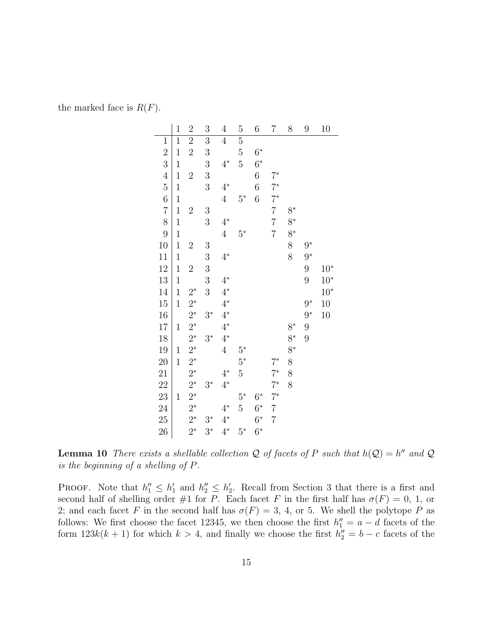the marked face is  $R(F)$ .

|                | $\mathbf 1$    | $\overline{2}$ | $\boldsymbol{3}$ | $\overline{4}$ | $\overline{5}$ | $\sqrt{6}$       | $\overline{7}$ | 8     | 9     | 10     |
|----------------|----------------|----------------|------------------|----------------|----------------|------------------|----------------|-------|-------|--------|
| $\overline{1}$ | $\overline{1}$ | $\overline{2}$ | $\overline{3}$   | $\overline{4}$ | $\overline{5}$ |                  |                |       |       |        |
| $\overline{2}$ | $\mathbf{1}$   | $\overline{2}$ | 3                |                | 5              | $6^*$            |                |       |       |        |
| 3              | $\mathbf{1}$   |                | 3                | $4^*$          | $\overline{5}$ | $6*$             |                |       |       |        |
| $\overline{4}$ | $\mathbf{1}$   | $\overline{2}$ | 3                |                |                | $\boldsymbol{6}$ | $7^*$          |       |       |        |
| $\overline{5}$ | $\mathbf{1}$   |                | 3                | $4^*$          |                | 6                | $7^*$          |       |       |        |
| 6              | $\mathbf{1}$   |                |                  | $\overline{4}$ | $5^*$          | 6                | $7^*$          |       |       |        |
| $\overline{7}$ | $\mathbf 1$    | $\overline{2}$ | 3                |                |                |                  | $\overline{7}$ | $8^*$ |       |        |
| 8              | $\mathbf{1}$   |                | 3                | $4^*$          |                |                  | $\overline{7}$ | $8^*$ |       |        |
| 9              | $\mathbf{1}$   |                |                  | $\overline{4}$ | $5^*$          |                  | $\overline{7}$ | $8^*$ |       |        |
| 10             | $\mathbf{1}$   | $\overline{2}$ | $\boldsymbol{3}$ |                |                |                  |                | 8     | $9^*$ |        |
| 11             | $\mathbf{1}$   |                | 3                | $4^*$          |                |                  |                | 8     | $9^*$ |        |
| 12             | $\mathbf{1}$   | $\overline{2}$ | 3                |                |                |                  |                |       | 9     | $10*$  |
| 13             | $\mathbf{1}$   |                | 3                | $4^*$          |                |                  |                |       | 9     | $10^*$ |
| 14             | $\mathbf{1}$   | $2^*$          | 3                | $4^*$          |                |                  |                |       |       | $10*$  |
| 15             | $\mathbf{1}$   | $2^*$          |                  | $4^*$          |                |                  |                |       | $9^*$ | 10     |
| 16             |                | $2^*$          | $3^*$            | $4^*$          |                |                  |                |       | $9^*$ | 10     |
| $17\,$         | $\mathbf{1}$   | $2^*$          |                  | $4^*$          |                |                  |                | $8^*$ | 9     |        |
| 18             |                | $2^*$          | $3^*$            | $4^*$          |                |                  |                | 8*    | 9     |        |
| 19             | $\mathbf{1}$   | $2^*$          |                  | $\overline{4}$ | $5^*$          |                  |                | $8^*$ |       |        |
| 20             | $\mathbf{1}$   | $2^*$          |                  |                | $5^*$          |                  | $7^*$          | 8     |       |        |
| 21             |                | $2^*$          |                  | $4^*$          | $\overline{5}$ |                  | $7^*$          | 8     |       |        |
| 22             |                | $2^*$          | $3^*$            | $4^*$          |                |                  | $7^*$          | 8     |       |        |
| 23             | $\mathbf{1}$   | $2^*$          |                  |                | $5^*$          | $6^*$            | $7^*$          |       |       |        |
| 24             |                | $2^*$          |                  | $4^*$          | $\overline{5}$ | $6^*$            | $\overline{7}$ |       |       |        |
| 25             |                | $2^*$          | $3^*$            | $4^*$          |                | $6^*$            | $\overline{7}$ |       |       |        |
| 26             |                | $2^*$          | $3^*$            | $4^*$          | $5^*$          | $6*$             |                |       |       |        |

**Lemma 10** There exists a shellable collection Q of facets of P such that  $h(Q) = h''$  and Q is the beginning of a shelling of P.

PROOF. Note that  $h''_1 \leq h'_1$  and  $h''_2 \leq h'_2$ . Recall from Section 3 that there is a first and second half of shelling order #1 for P. Each facet F in the first half has  $\sigma(F) = 0, 1,$  or 2; and each facet F in the second half has  $\sigma(F) = 3, 4$ , or 5. We shell the polytope P as follows: We first choose the facet 12345, we then choose the first  $h''_1 = a - d$  facets of the form  $123k(k+1)$  for which  $k > 4$ , and finally we choose the first  $h''_2 = b - c$  facets of the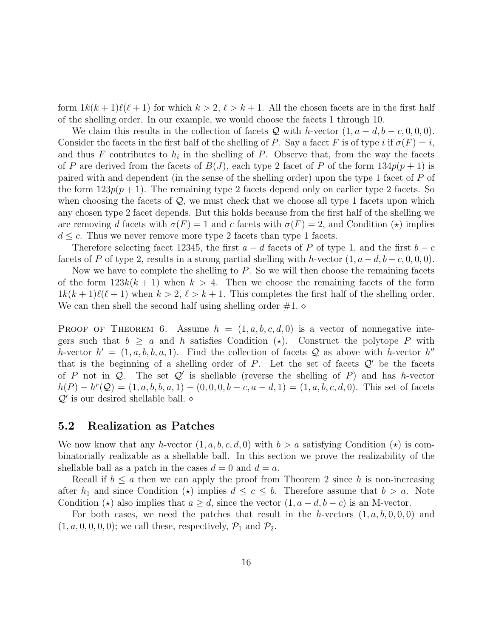form  $1k(k + 1)\ell(\ell + 1)$  for which  $k > 2$ ,  $\ell > k + 1$ . All the chosen facets are in the first half of the shelling order. In our example, we would choose the facets 1 through 10.

We claim this results in the collection of facets Q with h-vector  $(1, a - d, b - c, 0, 0, 0)$ . Consider the facets in the first half of the shelling of P. Say a facet F is of type i if  $\sigma(F) = i$ , and thus F contributes to  $h_i$  in the shelling of P. Observe that, from the way the facets of P are derived from the facets of  $B(J)$ , each type 2 facet of P of the form  $134p(p+1)$  is paired with and dependent (in the sense of the shelling order) upon the type 1 facet of P of the form  $123p(p+1)$ . The remaining type 2 facets depend only on earlier type 2 facets. So when choosing the facets of  $\mathcal{Q}$ , we must check that we choose all type 1 facets upon which any chosen type 2 facet depends. But this holds because from the first half of the shelling we are removing d facets with  $\sigma(F) = 1$  and c facets with  $\sigma(F) = 2$ , and Condition ( $\star$ ) implies  $d \leq c$ . Thus we never remove more type 2 facets than type 1 facets.

Therefore selecting facet 12345, the first  $a - d$  facets of P of type 1, and the first  $b - c$ facets of P of type 2, results in a strong partial shelling with h-vector  $(1, a - d, b - c, 0, 0, 0)$ .

Now we have to complete the shelling to  $P$ . So we will then choose the remaining facets of the form  $123k(k + 1)$  when  $k > 4$ . Then we choose the remaining facets of the form  $1k(k + 1)\ell(\ell + 1)$  when  $k > 2$ ,  $\ell > k + 1$ . This completes the first half of the shelling order. We can then shell the second half using shelling order  $\#1. \diamond$ 

**PROOF OF THEOREM 6.** Assume  $h = (1, a, b, c, d, 0)$  is a vector of nonnegative integers such that  $b \ge a$  and h satisfies Condition ( $\star$ ). Construct the polytope P with h-vector  $h' = (1, a, b, b, a, 1)$ . Find the collection of facets Q as above with h-vector  $h''$ that is the beginning of a shelling order of P. Let the set of facets  $\mathcal{Q}'$  be the facets of P not in Q. The set Q' is shellable (reverse the shelling of P) and has h-vector  $h(P) - h^{r}(Q) = (1, a, b, b, a, 1) - (0, 0, 0, b - c, a - d, 1) = (1, a, b, c, d, 0)$ . This set of facets  $\mathcal{Q}'$  is our desired shellable ball.  $\diamond$ 

### 5.2 Realization as Patches

We now know that any h-vector  $(1, a, b, c, d, 0)$  with  $b > a$  satisfying Condition  $(\star)$  is combinatorially realizable as a shellable ball. In this section we prove the realizability of the shellable ball as a patch in the cases  $d = 0$  and  $d = a$ .

Recall if  $b \le a$  then we can apply the proof from Theorem 2 since h is non-increasing after  $h_1$  and since Condition ( $\star$ ) implies  $d \leq c \leq b$ . Therefore assume that  $b > a$ . Note Condition ( $\star$ ) also implies that  $a \geq d$ , since the vector  $(1, a - d, b - c)$  is an M-vector.

For both cases, we need the patches that result in the h-vectors  $(1, a, b, 0, 0, 0)$  and  $(1, a, 0, 0, 0, 0)$ ; we call these, respectively,  $\mathcal{P}_1$  and  $\mathcal{P}_2$ .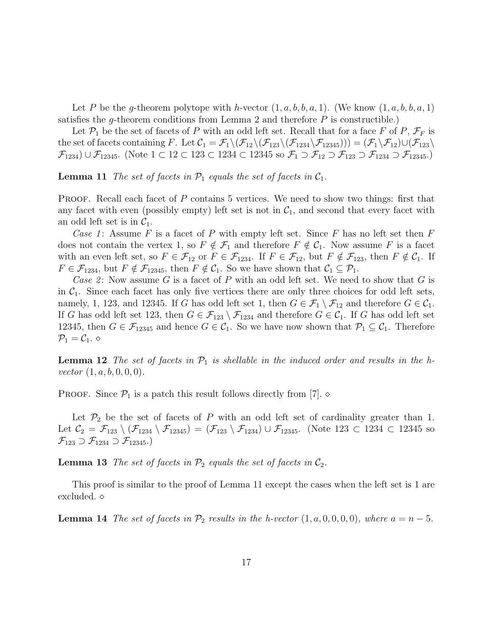Let P be the g-theorem polytope with h-vector  $(1, a, b, b, a, 1)$ . (We know  $(1, a, b, b, a, 1)$ ) satisfies the g-theorem conditions from Lemma 2 and therefore  $P$  is constructible.)

Let  $\mathcal{P}_1$  be the set of facets of P with an odd left set. Recall that for a face F of P,  $\mathcal{F}_F$  is the set of facets containing F. Let  $\mathcal{C}_1 = \mathcal{F}_1 \setminus (\mathcal{F}_{12} \setminus (\mathcal{F}_{123} \setminus (\mathcal{F}_{12345}))) = (\mathcal{F}_1 \setminus \mathcal{F}_{12}) \cup (\mathcal{F}_{123} \setminus \mathcal{F}_{12345}$  $\mathcal{F}_{1234}$  ∪  $\mathcal{F}_{12345}$ . (Note  $1 \subset 12 \subset 123 \subset 1234 \subset 12345$  so  $\mathcal{F}_1 \supset \mathcal{F}_{12} \supset \mathcal{F}_{123} \supset \mathcal{F}_{1234} \supset \mathcal{F}_{12345}$ .)

**Lemma 11** The set of facets in  $\mathcal{P}_1$  equals the set of facets in  $\mathcal{C}_1$ .

PROOF. Recall each facet of  $P$  contains 5 vertices. We need to show two things: first that any facet with even (possibly empty) left set is not in  $C_1$ , and second that every facet with an odd left set is in  $C_1$ .

Case 1: Assume F is a facet of P with empty left set. Since F has no left set then  $F$ does not contain the vertex 1, so  $F \notin \mathcal{F}_1$  and therefore  $F \notin \mathcal{C}_1$ . Now assume F is a facet with an even left set, so  $F \in \mathcal{F}_{12}$  or  $F \in \mathcal{F}_{1234}$ . If  $F \in \mathcal{F}_{12}$ , but  $F \notin \mathcal{F}_{123}$ , then  $F \notin \mathcal{C}_1$ . If  $F \in \mathcal{F}_{1234}$ , but  $F \notin \mathcal{F}_{12345}$ , then  $F \notin \mathcal{C}_1$ . So we have shown that  $\mathcal{C}_1 \subseteq \mathcal{P}_1$ .

Case 2: Now assume G is a facet of P with an odd left set. We need to show that G is in  $C_1$ . Since each facet has only five vertices there are only three choices for odd left sets, namely, 1, 123, and 12345. If G has odd left set 1, then  $G \in \mathcal{F}_1 \setminus \mathcal{F}_{12}$  and therefore  $G \in \mathcal{C}_1$ . If G has odd left set 123, then  $G \in \mathcal{F}_{123} \setminus \mathcal{F}_{1234}$  and therefore  $G \in \mathcal{C}_1$ . If G has odd left set 12345, then  $G \in \mathcal{F}_{12345}$  and hence  $G \in \mathcal{C}_1$ . So we have now shown that  $\mathcal{P}_1 \subseteq \mathcal{C}_1$ . Therefore  $\mathcal{P}_1=\mathcal{C}_1$ .  $\diamond$ 

**Lemma 12** The set of facets in  $\mathcal{P}_1$  is shellable in the induced order and results in the hvector  $(1, a, b, 0, 0, 0)$ .

**PROOF.** Since  $\mathcal{P}_1$  is a patch this result follows directly from [7].  $\diamond$ 

Let  $\mathcal{P}_2$  be the set of facets of P with an odd left set of cardinality greater than 1. Let  $\mathcal{C}_2 = \mathcal{F}_{123} \setminus (\mathcal{F}_{1234} \setminus \mathcal{F}_{12345}) = (\mathcal{F}_{123} \setminus \mathcal{F}_{1234}) \cup \mathcal{F}_{12345}$ . (Note 123 ⊂ 1234 ⊂ 12345 so  $\mathcal{F}_{123} \supset \mathcal{F}_{1234} \supset \mathcal{F}_{12345}$ .)

**Lemma 13** The set of facets in  $\mathcal{P}_2$  equals the set of facets in  $\mathcal{C}_2$ .

This proof is similar to the proof of Lemma 11 except the cases when the left set is 1 are excluded.

**Lemma 14** The set of facets in  $\mathcal{P}_2$  results in the h-vector  $(1, a, 0, 0, 0, 0)$ , where  $a = n - 5$ .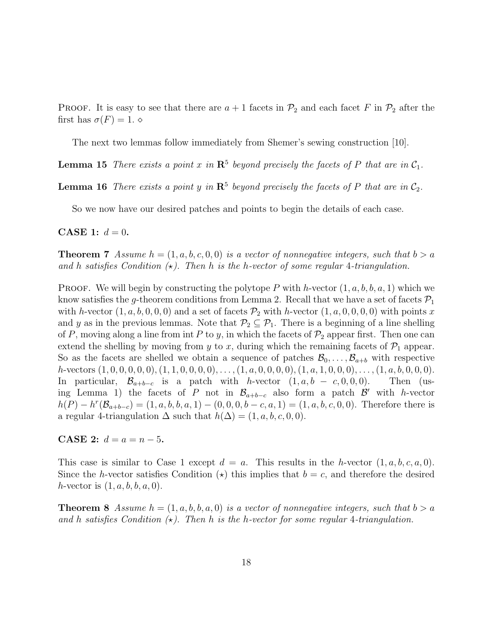**PROOF.** It is easy to see that there are  $a + 1$  facets in  $\mathcal{P}_2$  and each facet F in  $\mathcal{P}_2$  after the first has  $\sigma(F) = 1$ .

The next two lemmas follow immediately from Shemer's sewing construction [10].

**Lemma 15** There exists a point x in  $\mathbb{R}^5$  beyond precisely the facets of P that are in  $\mathcal{C}_1$ .

**Lemma 16** There exists a point y in  $\mathbb{R}^5$  beyond precisely the facets of P that are in  $\mathcal{C}_2$ .

So we now have our desired patches and points to begin the details of each case.

**CASE 1:**  $d = 0$ .

**Theorem 7** Assume  $h = (1, a, b, c, 0, 0)$  is a vector of nonnegative integers, such that  $b > a$ and h satisfies Condition  $(x)$ . Then h is the h-vector of some regular 4-triangulation.

**PROOF.** We will begin by constructing the polytope P with h-vector  $(1, a, b, b, a, 1)$  which we know satisfies the g-theorem conditions from Lemma 2. Recall that we have a set of facets  $\mathcal{P}_1$ with h-vector  $(1, a, b, 0, 0, 0)$  and a set of facets  $\mathcal{P}_2$  with h-vector  $(1, a, 0, 0, 0, 0)$  with points x and y as in the previous lemmas. Note that  $\mathcal{P}_2 \subseteq \mathcal{P}_1$ . There is a beginning of a line shelling of P, moving along a line from int P to y, in which the facets of  $\mathcal{P}_2$  appear first. Then one can extend the shelling by moving from y to x, during which the remaining facets of  $\mathcal{P}_1$  appear. So as the facets are shelled we obtain a sequence of patches  $\mathcal{B}_0, \ldots, \mathcal{B}_{a+b}$  with respective h-vectors  $(1, 0, 0, 0, 0, 0), (1, 1, 0, 0, 0, 0), \ldots, (1, a, 0, 0, 0, 0), (1, a, 1, 0, 0, 0), \ldots, (1, a, b, 0, 0, 0).$ In particular,  $\mathcal{B}_{a+b-c}$  is a patch with *h*-vector  $(1, a, b - c, 0, 0, 0)$ . Then (using Lemma 1) the facets of P not in  $\mathcal{B}_{a+b-c}$  also form a patch  $\mathcal{B}'$  with h-vector  $h(P) - h^{r}(\mathcal{B}_{a+b-c}) = (1, a, b, b, a, 1) - (0, 0, 0, b - c, a, 1) = (1, a, b, c, 0, 0).$  Therefore there is a regular 4-triangulation  $\Delta$  such that  $h(\Delta) = (1, a, b, c, 0, 0)$ .

**CASE 2:**  $d = a = n - 5$ .

This case is similar to Case 1 except  $d = a$ . This results in the h-vector  $(1, a, b, c, a, 0)$ . Since the h-vector satisfies Condition ( $\star$ ) this implies that  $b = c$ , and therefore the desired *h*-vector is  $(1, a, b, b, a, 0)$ .

**Theorem 8** Assume  $h = (1, a, b, b, a, 0)$  is a vector of nonnegative integers, such that  $b > a$ and h satisfies Condition  $\star$ ). Then h is the h-vector for some regular 4-triangulation.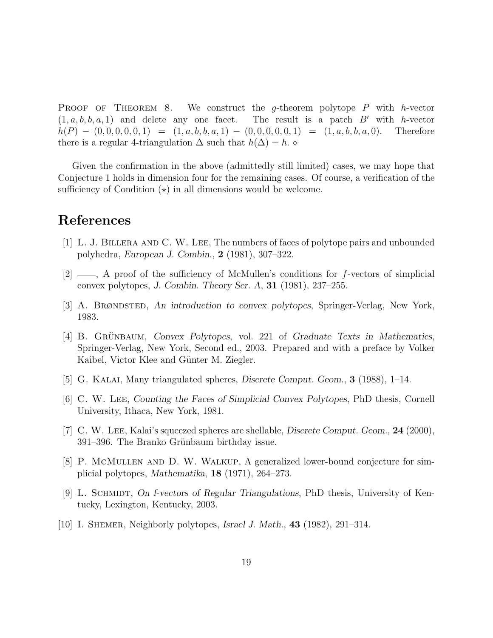**PROOF OF THEOREM 8.** We construct the g-theorem polytope  $P$  with h-vector  $(1, a, b, b, a, 1)$  and delete any one facet. The result is a patch B' with h-vector  $h(P) - (0, 0, 0, 0, 0, 1) = (1, a, b, b, a, 1) - (0, 0, 0, 0, 0, 1) = (1, a, b, b, a, 0).$  Therefore there is a regular 4-triangulation  $\Delta$  such that  $h(\Delta) = h$ .

Given the confirmation in the above (admittedly still limited) cases, we may hope that Conjecture 1 holds in dimension four for the remaining cases. Of course, a verification of the sufficiency of Condition  $(\star)$  in all dimensions would be welcome.

## References

- [1] L. J. Billera and C. W. Lee, The numbers of faces of polytope pairs and unbounded polyhedra, European J. Combin., 2 (1981), 307–322.
- $[2] \longrightarrow$ , A proof of the sufficiency of McMullen's conditions for f-vectors of simplicial convex polytopes, J. Combin. Theory Ser.  $A$ , 31 (1981), 237–255.
- [3] A. Brøndsted, An introduction to convex polytopes, Springer-Verlag, New York, 1983.
- [4] B. GRÜNBAUM, Convex Polytopes, vol. 221 of Graduate Texts in Mathematics, Springer-Verlag, New York, Second ed., 2003. Prepared and with a preface by Volker Kaibel, Victor Klee and Günter M. Ziegler.
- [5] G. Kalai, Many triangulated spheres, Discrete Comput. Geom., 3 (1988), 1–14.
- [6] C. W. Lee, Counting the Faces of Simplicial Convex Polytopes, PhD thesis, Cornell University, Ithaca, New York, 1981.
- [7] C. W. Lee, Kalai's squeezed spheres are shellable, Discrete Comput. Geom., 24 (2000), 391–396. The Branko Grünbaum birthday issue.
- [8] P. McMullen and D. W. Walkup, A generalized lower-bound conjecture for simplicial polytopes, Mathematika, 18 (1971), 264–273.
- [9] L. SCHMIDT, On f-vectors of Regular Triangulations, PhD thesis, University of Kentucky, Lexington, Kentucky, 2003.
- [10] I. SHEMER, Neighborly polytopes, Israel J. Math., 43 (1982), 291-314.